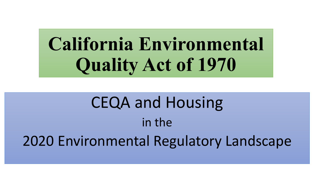**California Environmental Quality Act of 1970**

CEQA and Housing in the 2020 Environmental Regulatory Landscape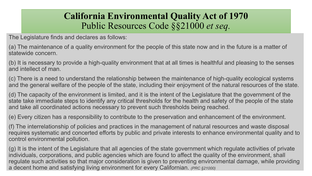### **California Environmental Quality Act of 1970** Public Resources Code §§21000 *et seq.*

The Legislature finds and declares as follows:

(a) The maintenance of a quality environment for the people of this state now and in the future is a matter of statewide concern.

(b) It is necessary to provide a high-quality environment that at all times is healthful and pleasing to the senses and intellect of man.

(c) There is a need to understand the relationship between the maintenance of high-quality ecological systems and the general welfare of the people of the state, including their enjoyment of the natural resources of the state.

(d) The capacity of the environment is limited, and it is the intent of the Legislature that the government of the state take immediate steps to identify any critical thresholds for the health and safety of the people of the state and take all coordinated actions necessary to prevent such thresholds being reached.

(e) Every citizen has a responsibility to contribute to the preservation and enhancement of the environment.

(f) The interrelationship of policies and practices in the management of natural resources and waste disposal requires systematic and concerted efforts by public and private interests to enhance environmental quality and to control environmental pollution.

(g) It is the intent of the Legislature that all agencies of the state government which regulate activities of private individuals, corporations, and public agencies which are found to affect the quality of the environment, shall regulate such activities so that major consideration is given to preventing environmental damage, while providing a decent home and satisfying living environment for every Californian. *(PRC §21000)*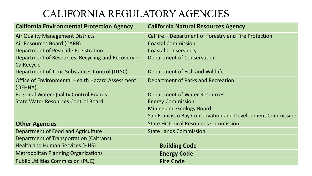### CALIFORNIA REGULATORY AGENCIES

| <b>California Natural Resources Agency</b>                |
|-----------------------------------------------------------|
| CalFire – Department of Forestry and Fire Protection      |
| <b>Coastal Commission</b>                                 |
| <b>Coastal Conservancy</b>                                |
| Department of Conservation                                |
| Department of Fish and Wildlife                           |
| Department of Parks and Recreation                        |
| Department of Water Resources                             |
| <b>Energy Commission</b>                                  |
| <b>Mining and Geology Board</b>                           |
| San Francisco Bay Conservation and Development Commission |
| <b>State Historical Resources Commission</b>              |
| <b>State Lands Commission</b>                             |
|                                                           |
| <b>Building Code</b>                                      |
| <b>Energy Code</b>                                        |
| <b>Fire Code</b>                                          |
|                                                           |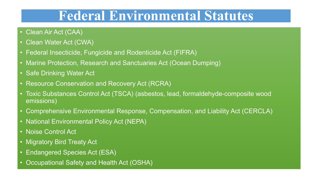# **Federal Environmental Statutes**

- Clean Air Act (CAA)
- Clean Water Act (CWA)
- Federal Insecticide, Fungicide and Rodenticide Act (FIFRA)
- Marine Protection, Research and Sanctuaries Act (Ocean Dumping)
- Safe Drinking Water Act
- Resource Conservation and Recovery Act (RCRA)
- Toxic Substances Control Act (TSCA) (asbestos, lead, formaldehyde-composite wood emissions)
- Comprehensive Environmental Response, Compensation, and Liability Act (CERCLA)
- National Environmental Policy Act (NEPA)
- Noise Control Act
- Migratory Bird Treaty Act
- Endangered Species Act (ESA)
- Occupational Safety and Health Act (OSHA)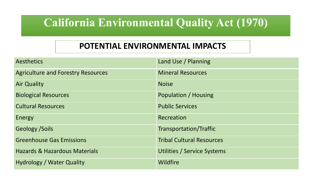## **California Environmental Quality Act (1970)**

#### **POTENTIAL ENVIRONMENTAL IMPACTS**

| <b>Aesthetics</b>                         | Land Use / Planning              |
|-------------------------------------------|----------------------------------|
| <b>Agriculture and Forestry Resources</b> | <b>Mineral Resources</b>         |
| <b>Air Quality</b>                        | <b>Noise</b>                     |
| <b>Biological Resources</b>               | Population / Housing             |
| <b>Cultural Resources</b>                 | <b>Public Services</b>           |
| Energy                                    | Recreation                       |
| <b>Geology /Soils</b>                     | <b>Transportation/Traffic</b>    |
| <b>Greenhouse Gas Emissions</b>           | <b>Tribal Cultural Resources</b> |
| <b>Hazards &amp; Hazardous Materials</b>  | Utilities / Service Systems      |
| <b>Hydrology / Water Quality</b>          | <b>Wildfire</b>                  |